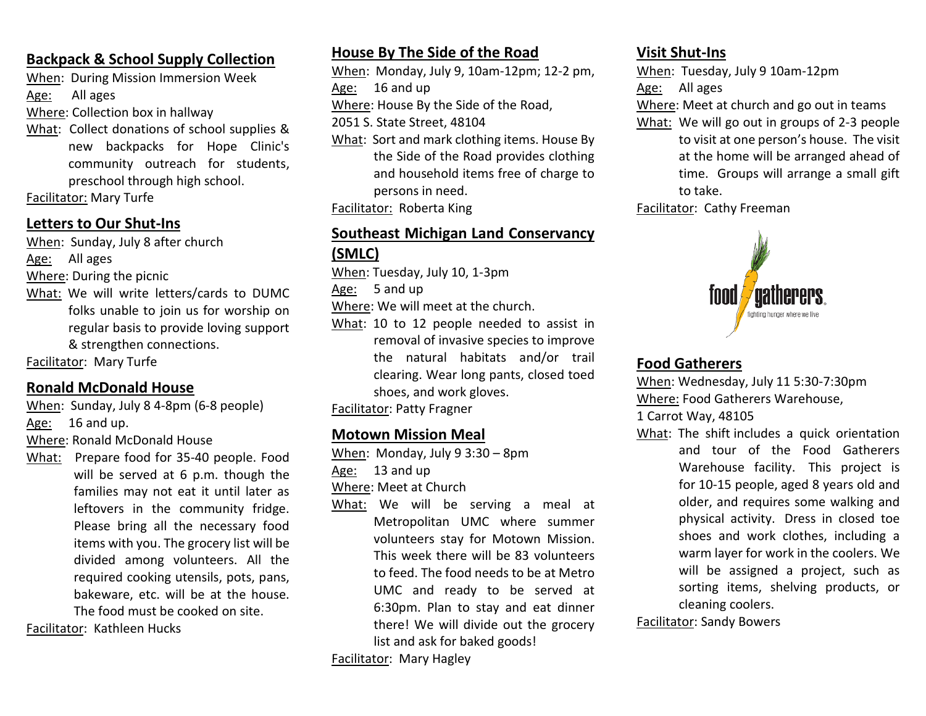### **Backpack & School Supply Collection**

When: During Mission Immersion Week

Age: All ages

Where: Collection box in hallway

What: Collect donations of school supplies & new backpacks for Hope Clinic's community outreach for students, preschool through high school.

Facilitator: Mary Turfe

# **Letters to Our Shut-Ins**

When: Sunday, July 8 after church

Age: All ages

Where: During the picnic

What: We will write letters/cards to DUMC folks unable to join us for worship on regular basis to provide loving support & strengthen connections.

Facilitator: Mary Turfe

# **Ronald McDonald House**

When: Sunday, July 8 4-8pm (6-8 people)

Age: 16 and up.

Where: Ronald McDonald House

What: Prepare food for 35-40 people. Food will be served at 6 p.m. though the families may not eat it until later as leftovers in the community fridge. Please bring all the necessary food items with you. The grocery list will be divided among volunteers. All the required cooking utensils, pots, pans, bakeware, etc. will be at the house. The food must be cooked on site.

Facilitator: Kathleen Hucks

# **House By The Side of the Road**

- When: Monday, July 9, 10am-12pm; 12-2 pm, Age: 16 and up
- Where: House By the Side of the Road,

2051 S. State Street, 48104

- What: Sort and mark clothing items. House By the Side of the Road provides clothing and household items free of charge to persons in need.
- Facilitator: Roberta King

### **Southeast Michigan Land Conservancy (SMLC)**

When: Tuesday, July 10, 1-3pm

Age: 5 and up

Where: We will meet at the church.

What: 10 to 12 people needed to assist in removal of invasive species to improve the natural habitats and/or trail clearing. Wear long pants, closed toed shoes, and work gloves.

Facilitator: Patty Fragner

## **Motown Mission Meal**

When: Monday, July 9 3:30 – 8pm

Age: 13 and up

Where: Meet at Church

What: We will be serving a meal at Metropolitan UMC where summer volunteers stay for Motown Mission. This week there will be 83 volunteers to feed. The food needs to be at Metro UMC and ready to be served at 6:30pm. Plan to stay and eat dinner there! We will divide out the grocery list and ask for baked goods!

Facilitator: Mary Hagley

## **Visit Shut-Ins**

When: Tuesday, July 9 10am-12pm

Age: All ages

Where: Meet at church and go out in teams

What: We will go out in groups of 2-3 people to visit at one person's house. The visit at the home will be arranged ahead of time. Groups will arrange a small gift to take.

Facilitator: Cathy Freeman



# **Food Gatherers**

When: Wednesday, July 11 5:30-7:30pm Where: Food Gatherers Warehouse,

1 Carrot Way, 48105

What: The shift includes a quick orientation and tour of the Food Gatherers Warehouse facility. This project is for 10-15 people, aged 8 years old and older, and requires some walking and physical activity. Dress in closed toe shoes and work clothes, including a warm layer for work in the coolers. We will be assigned a project, such as sorting items, shelving products, or cleaning coolers.

Facilitator: Sandy Bowers